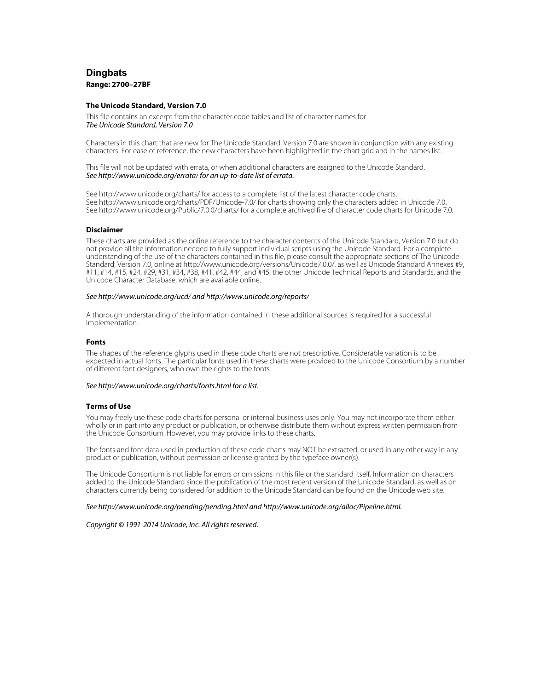# **Dingbats Range: 2700–27BF**

## **The Unicode Standard, Version 7.0**

This file contains an excerpt from the character code tables and list of character names for The Unicode Standard, Version 7.0

Characters in this chart that are new for The Unicode Standard, Version 7.0 are shown in conjunction with any existing characters. For ease of reference, the new characters have been highlighted in the chart grid and in the names list.

This file will not be updated with errata, or when additional characters are assigned to the Unicode Standard. See <http://www.unicode.org/errata/>for an up-to-date list of errata.

See <http://www.unicode.org/charts/> for access to a complete list of the latest character code charts. See <http://www.unicode.org/charts/PDF/Unicode-7.0/>for charts showing only the characters added in Unicode 7.0. See <http://www.unicode.org/Public/7.0.0/charts/> for a complete archived file of character code charts for Unicode 7.0.

## **Disclaimer**

These charts are provided as the online reference to the character contents of the Unicode Standard, Version 7.0 but do not provide all the information needed to fully support individual scripts using the Unicode Standard. For a complete understanding of the use of the characters contained in this file, please consult the appropriate sections of The Unicode Standard, Version 7.0, online at [http://www.unicode.org/versions/Unicode7.0.0/,](http://www.unicode.org/versions/Unicode7.0.0/) as well as Unicode Standard Annexes #9, #11, #14, #15, #24, #29, #31, #34, #38, #41, #42, #44, and #45, the other Unicode Technical Reports and Standards, and the Unicode Character Database, which are available online.

#### See <http://www.unicode.org/ucd/>and<http://www.unicode.org/reports/>

A thorough understanding of the information contained in these additional sources is required for a successful implementation.

#### **Fonts**

The shapes of the reference glyphs used in these code charts are not prescriptive. Considerable variation is to be expected in actual fonts. The particular fonts used in these charts were provided to the Unicode Consortium by a number of different font designers, who own the rights to the fonts.

#### See <http://www.unicode.org/charts/fonts.html> for a list.

## **Terms of Use**

You may freely use these code charts for personal or internal business uses only. You may not incorporate them either wholly or in part into any product or publication, or otherwise distribute them without express written permission from the Unicode Consortium. However, you may provide links to these charts.

The fonts and font data used in production of these code charts may NOT be extracted, or used in any other way in any product or publication, without permission or license granted by the typeface owner(s).

The Unicode Consortium is not liable for errors or omissions in this file or the standard itself. Information on characters added to the Unicode Standard since the publication of the most recent version of the Unicode Standard, as well as on characters currently being considered for addition to the Unicode Standard can be found on the Unicode web site.

#### See <http://www.unicode.org/pending/pending.html> and [http://www.unicode.org/alloc/Pipeline.html.](http://www.unicode.org/alloc/Pipeline.html)

Copyright © 1991-2014 Unicode, Inc. All rights reserved.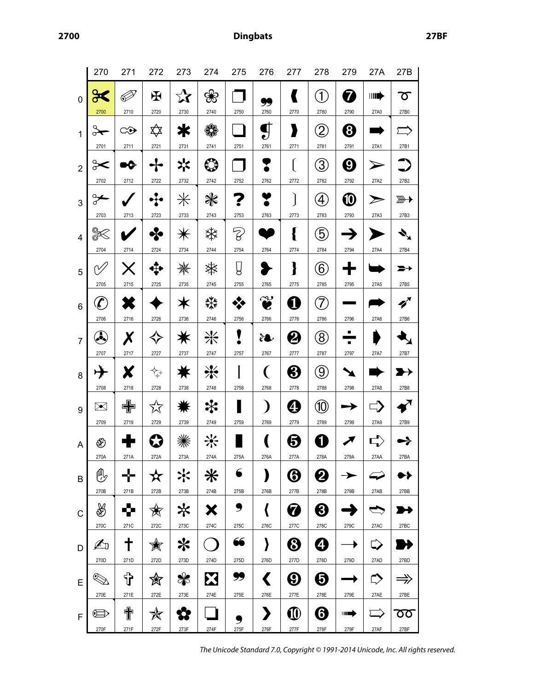**2700 Dingbats 27BF**

|                | 270                 | 271         | 272             | 273                        | 274               | 275       | 276                           | 277                                            | 278                     | 279                   | 27A                   | 27B                       |
|----------------|---------------------|-------------|-----------------|----------------------------|-------------------|-----------|-------------------------------|------------------------------------------------|-------------------------|-----------------------|-----------------------|---------------------------|
| $\mathbf 0$    | 2700                | Í<br>2710   | $\bf H$<br>2720 | $\mathbf{\hat{x}}$<br>2730 | ❀<br>2740         | 2750      | 99<br>2760                    | K<br>2770                                      | $\widehat{1}$<br>2780   | 7<br>2790             | <b>IIII)</b><br>27A0  | ᠊ᢅԾ<br>27B0               |
| $\mathbf{1}$   | o★                  | ⇔           | ╳               | ≭                          | ₩                 |           | $\bf{g}$                      | y                                              | $\widehat{\mathcal{Z}}$ | 0                     |                       |                           |
|                | 2701                | 2711        | 2721            | 2731                       | 2741              | 2751      | 2761                          | 2771                                           | 2781                    | 2791                  | 27A1                  | 27B1                      |
| $\overline{2}$ | ⊱⊱<br>2702          | XG.<br>2712 | 2722            | 冰<br>2732                  | $\bullet$<br>2742 | 2752      | 2762                          | ĺ<br>2772                                      | 3<br>2782               | 0<br>2792             | 27A2                  | 27B2                      |
| 3              | ⊱                   |             |                 | $\divideontimes$           | ₩                 |           |                               | Ì                                              | $\left( 4\right)$       | $\bm{\mathbb{O}}$     |                       | $\overline{\mathbb{D}}$   |
|                | 2703                | 2713        | 2723            | 2733                       | 2743              | 2753      | 2763                          | 2773                                           | 2783                    | 2793                  | 27A3                  | 27B3                      |
| 4              | Q                   | 2714        | ℅<br>2724       | $\divideontimes$           | ఘ                 | Z         |                               | {                                              | 5<br>2784               |                       |                       |                           |
|                | 2704                |             |                 | 2734                       | 2744              | 2754      | 2764                          | 2774                                           |                         | 2794                  | 27A4                  | 27B4                      |
| 5              | N,<br>2705          | 2715        | 2725            | ₩<br>2735                  | ☀<br>2745         | Ų<br>2755 | 2765                          | }<br>2775                                      | $\widehat{6}$<br>2785   | 2795                  | 27A5                  | 27B5                      |
| 6              | $\boldsymbol{\ell}$ |             |                 | Ж                          | ₩                 |           | $\mathbf{v}$                  | 0                                              | 7                       |                       |                       | $\boldsymbol{z}^{\prime}$ |
|                | 2706                | 2716        | 2726            | 2736                       | 2746              | 2756      | 2766                          | 2776                                           | 2786                    | 2796                  | 27A6                  | 27B6                      |
| $\overline{7}$ | A                   | Χ           |                 |                            | 米                 | V         | èL                            | 2                                              | $\bigcirc$              | ٠                     |                       |                           |
|                | 2707                | 2717        | 2727            | 2737                       | 2747              | 2757      | 2767                          | 2777                                           | 2787                    | 2797                  | 27A7                  | 27B7                      |
| 8              | $\rightarrow$       | Х           | ⇅               |                            | ☀                 |           | (                             | ႘                                              | $9\,$                   |                       |                       |                           |
|                | 2708                | 2718        | 2728            | 2738                       | 2748              | 2758      | 2768                          | 2778                                           | 2788                    | 2798                  | 27A8                  | 27B8                      |
| 9              | ➣                   | 中           | 饮               |                            | ҉                 |           | $\lambda$                     | 4                                              | 10)                     |                       |                       | $\blacktriangledown$      |
|                | 2709                | 2719        | 2729            | 2739                       | 2749              | 2759      | 2769                          | 2779                                           | 2789                    | 2799                  | 27A9                  | 27B9                      |
| A              | ⊛                   |             |                 |                            | <mark>҉</mark>    |           |                               | 5                                              | 1                       |                       |                       |                           |
|                | 270A                | 271A        | 272A            | 273A                       | 274A              | 275A      | 276A                          | 277A                                           | 278A                    | 279A                  | 27AA                  | 27BA                      |
| B              | ⊕                   | ╬           | $\mathbf x$     | ╳                          | ⋇                 | 6         | )                             | $\boldsymbol{\Theta}$                          | 2                       | $\blacktriangleright$ | ⇁                     |                           |
|                | 270B                | 271B        | 272B            | 273B                       | 274B              | 275B      | 276B                          | 277B                                           | 278B                    | 279B                  | 27AB                  | 27BB                      |
| $\mathsf{C}$   | ♨                   | 45          | 贪               | ⋇                          | Х                 | ,         | $\langle$                     | Ø                                              | ❸                       |                       | $\blacktriangleright$ | ×                         |
|                | 270C                | 271C        | 272C            | 273C                       | 274C              | 275C      | 276C                          | 277C                                           | 278C                    | 279C                  | 27AC                  | 27BC                      |
| D              | A                   | ╋           | Ñ               | ⋇                          |                   | 66        | }                             | $\bm{\Theta}$                                  | ❹                       |                       | ⇨                     |                           |
|                | 270D                | 271D        | 272D            | 273D                       | 274D              | 275D      | 276D                          | 277D                                           | 278D                    | 279D                  | 27AD                  | 27BD                      |
| E              | N.                  | ╬           | 衒               | ₩                          | X                 | 99        | $\blacklozenge$               | $\boldsymbol{\Theta}$                          | $\bm \Theta$            |                       | ⇨                     | $\Rightarrow$             |
| $\mathsf F$    | 270E<br>$\oplus$    | 271E<br>个   | 272E<br>✬       | 273E                       | 274E              | 275E      | 276E<br>$\blacktriangleright$ | 277E<br>$\boldsymbol{\textcircled{\small{1}}}$ | 278E<br>❻               | 279E<br>HI            | 27AE                  | 27BE<br>᠊ᢅᡂ               |
|                | 270F                | 271F        | 272F            | 273F                       | 274F              | 275F      | 276F                          | 277F                                           | 278F                    | 279F                  | 27AF                  | 27BF                      |

The Unicode Standard 7.0, Copyright © 1991-2014 Unicode, Inc. All rights reserved.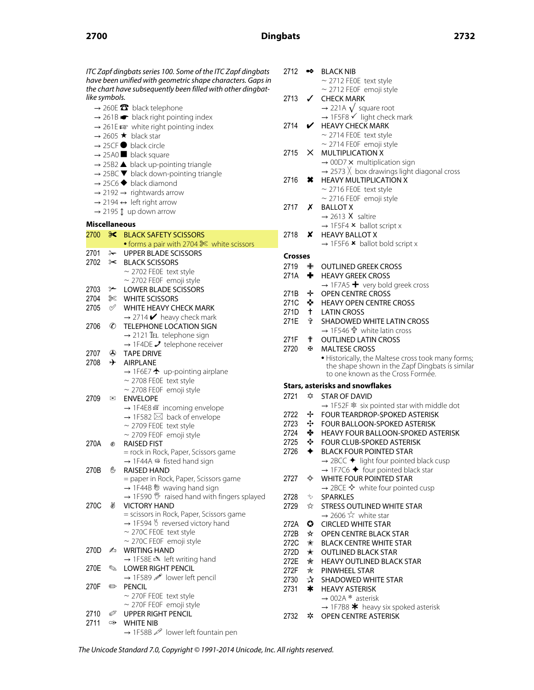# **2700 Dingbats 2732**

**Crosses** ITC Zapf dingbats series 100. Some of the ITC Zapf dingbats have been unified with geometric shape characters. Gaps in the chart have subsequently been filled with other dingbatlike symbols.  $\rightarrow$  260E  $\bullet$  black telephone  $\rightarrow$  261B  $\rightarrow$  black right pointing index  $\rightarrow$  261E  $\approx$  white right pointing index  $\rightarrow$  2605  $\star$  black star  $\rightarrow$  25CF  $\bullet$  black circle  $\rightarrow$  25A0 **b** black square  $\rightarrow$  25B2  $\blacktriangle$  black up-pointing triangle  $\rightarrow$  25BC  $\blacktriangledown$  black down-pointing triangle  $\rightarrow$  25C6  $\blacklozenge$  black diamond  $\rightarrow$  2192  $\rightarrow$  rightwards arrow  $\rightarrow$  2194  $\leftrightarrow$  left right arrow  $\rightarrow$  2195  $\updownarrow$  up down arrow **Miscellaneous** 2700 S BLACK SAFETY SCISSORS • forms a pair with 2704 ✄ white scissors 2701 & UPPER BLADE SCISSORS 2702 ✂ BLACK SCISSORS  $\sim$  2702 FE0E text style ⁓ 2702 FE0F emoji style 2703 <del>⊱</del> LOWER BLADE SCISSORS 2704 ✄ WHITE SCISSORS 2705 ✅ WHITE HEAVY CHECK MARK  $\rightarrow$  2714  $\blacktriangleright$  heavy check mark 2706 © TELEPHONE LOCATION SIGN  $\rightarrow$  2121 TEL telephone sign  $\rightarrow$  1F4DE  $\rightarrow$  telephone receiver 2707 ✇ TAPE DRIVE 2708  $\rightarrow$  AIRPLANE  $\rightarrow$  1F6E7  $\rightarrow$  up-pointing airplane  $\sim$  2708 FE0E text style  $\sim$  2708 FE0F emoji style 2709 **⊠** ENVELOPE → 1F4E8  $\#$  incoming envelope  $\rightarrow$  1F582  $\boxtimes$  back of envelope  $\sim$  2709 FE0E text style ⁓ 2709 FE0F emoji style 270A ✊ RAISED FIST = rock in Rock, Paper, Scissors game  $\rightarrow$  1F44A  $\omega$  fisted hand sign 270B ✋ RAISED HAND = paper in Rock, Paper, Scissors game  $\rightarrow$  1F44B  $\%$  waving hand sign → 1F590  $*$  raised hand with fingers splayed 270C ✌ VICTORY HAND = scissors in Rock, Paper, Scissors game  $\rightarrow$  1F594  $\%$  reversed victory hand  $\sim$  270C FE0E text style ⁓ 270C FE0F emoji style 270D **Z** WRITING HAND  $\rightarrow$  1F58E  $\triangle$  left writing hand 270E ✎ LOWER RIGHT PENCIL  $\rightarrow$  1F589  $\mathcal{P}$  lower left pencil 270F ✏ PENCIL  $\sim$  270F FE0E text style ⁓ 270F FE0F emoji style 2710 *S* UPPER RIGHT PENCIL 2711 **↔ WHITE NIB** → 1F58B 2 lower left fountain pen

| 2712           | ∙∾            | <b>BLACK NIB</b><br>$\sim$ 2712 FE0E text style                                      |
|----------------|---------------|--------------------------------------------------------------------------------------|
| 2713           | $\checkmark$  | $\sim$ 2712 FE0F emoji style<br><b>CHECK MARK</b>                                    |
|                |               | → 221A $\sqrt{\ }$ square root<br>→ 1F5F8 $\checkmark$ light check mark              |
|                |               |                                                                                      |
| 2714           | V             | <b>HEAVY CHECK MARK</b>                                                              |
|                |               | $\sim$ 2714 FE0E text style                                                          |
| 2715           | $\times$      | $\sim$ 2714 FEOF emoji style                                                         |
|                |               | <b>MULTIPLICATION X</b><br>$\rightarrow$ 00D7 $\times$ multiplication sign           |
|                |               | $\rightarrow$ 2573 $\times$ box drawings light diagonal cross                        |
| 2716           | ×             | <b>HEAVY MULTIPLICATION X</b>                                                        |
|                |               | $\sim$ 2716 FE0E text style                                                          |
|                |               | $\sim$ 2716 FE0F emoji style                                                         |
| 2717           | x             | <b>BALLOT X</b>                                                                      |
|                |               | $\rightarrow$ 2613 X saltire                                                         |
|                |               | $\rightarrow$ 1F5F4 $\times$ ballot script x                                         |
| 2718           | X.            | <b>HEAVY BALLOT X</b>                                                                |
|                |               | $\rightarrow$ 1F5F6 $\star$ ballot bold script x                                     |
| <b>Crosses</b> |               |                                                                                      |
| 2719           | ╇             | <b>OUTLINED GREEK CROSS</b>                                                          |
| 271A           | ÷.            | <b>HEAVY GREEK CROSS</b>                                                             |
|                |               | $\rightarrow$ 1F7A5 $+$ very bold greek cross                                        |
| 271B           | ÷.            | <b>OPEN CENTRE CROSS</b>                                                             |
| 271C ❖         |               | <b>HEAVY OPEN CENTRE CROSS</b>                                                       |
| 271D           | $+$           | <b>LATIN CROSS</b>                                                                   |
| 271E           | ੀ             | <b>SHADOWED WHITE LATIN CROSS</b>                                                    |
|                |               | → 1F546 <sup>+</sup> white latin cross                                               |
| 271F           | Ť             | <b>OUTLINED LATIN CROSS</b>                                                          |
| 2720           | Œ.            | <b>MALTESE CROSS</b>                                                                 |
|                |               | · Historically, the Maltese cross took many forms;                                   |
|                |               | the shape shown in the Zapf Dingbats is similar<br>to one known as the Cross Formée. |
|                |               | <b>Stars, asterisks and snowflakes</b>                                               |
| 2721           | ✿             | <b>STAR OF DAVID</b>                                                                 |
|                |               | → 1F52F $*$ six pointed star with middle dot                                         |
| 2722 ÷         |               | FOUR TEARDROP-SPOKED ASTERISK                                                        |
| $2723 - 1$     |               | FOUR BALLOON-SPOKED ASTERISK                                                         |
| 2724 ❖         |               | <b>HEAVY FOUR BALLOON-SPOKED ASTERISK</b>                                            |
| 2725           | $\rightarrow$ | <b>FOUR CLUB-SPOKED ASTERISK</b>                                                     |
| 2726           | ✦             | <b>BLACK FOUR POINTED STAR</b>                                                       |
|                |               | $\rightarrow$ 2BCC $\blacklozenge$ light four pointed black cusp                     |
|                |               | $\rightarrow$ 1F7C6 $\blacklozenge$ four pointed black star                          |
| 2727           | ✧             | WHITE FOUR POINTED STAR                                                              |
|                |               | $\rightarrow$ 2BCE $\diamondsuit$ white four pointed cusp                            |
| 2728           | ☆             | SPARKLES                                                                             |
| 2729           | ☆             | <b>STRESS OUTLINED WHITE STAR</b>                                                    |
|                |               | $\rightarrow$ 2606 $\approx$ white star                                              |
| 272A           | $\bullet$     | <b>CIRCLED WHITE STAR</b>                                                            |
| 272B           | $\star$       | <b>OPEN CENTRE BLACK STAR</b>                                                        |
| 272C           | ✬             | <b>BLACK CENTRE WHITE STAR</b>                                                       |
| 272D           | $\star$       | <b>OUTLINED BLACK STAR</b>                                                           |
| 272E           | 禽             | <b>HEAVY OUTLINED BLACK STAR</b>                                                     |
| 272F           |               | $\star$ PINWHEEL STAR                                                                |
| 2730           | $\mathbf{r}$  | <b>SHADOWED WHITE STAR</b>                                                           |
| 2731           | $\ast$        | <b>HEAVY ASTERISK</b>                                                                |
|                |               | $\rightarrow$ 002A * asterisk                                                        |
| 2732           | *             | $\rightarrow$ 1F7B8 $*$ heavy six spoked asterisk<br>OPEN CENTRE ASTERISK            |
|                |               |                                                                                      |

The Unicode Standard 7.0, Copyright © 1991-2014 Unicode, Inc. All rights reserved.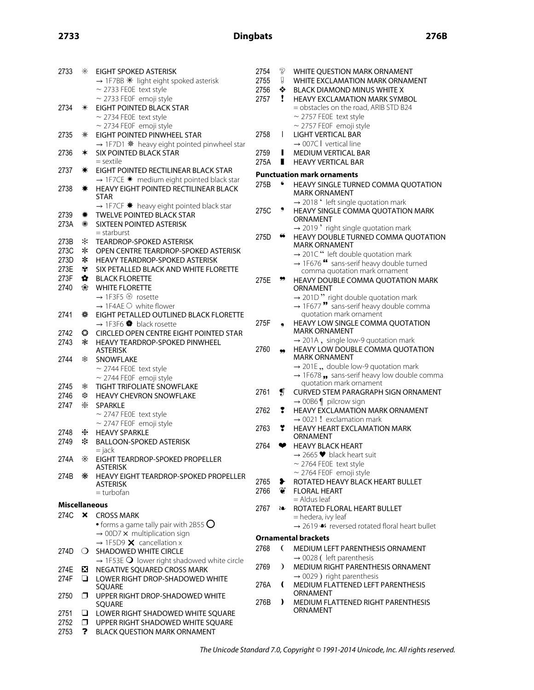| 2733          | $\ast$ | EIGHT SPOKED ASTERISK                                            | 2754       | P            |
|---------------|--------|------------------------------------------------------------------|------------|--------------|
|               |        | $\rightarrow$ 1F7BB $*$ light eight spoked asterisk              | 2755       | g            |
|               |        | $\sim$ 2733 FE0E text style                                      | 2756       | ❖            |
|               |        | $\sim$ 2733 FE0F emoji style                                     | 2757       | ı            |
| 2734          | $\ast$ | EIGHT POINTED BLACK STAR                                         |            |              |
|               |        | $\sim$ 2734 FE0E text style                                      |            |              |
|               |        | $\sim$ 2734 FE0F emoji style                                     |            |              |
| 2735          | ⋇      | EIGHT POINTED PINWHEEL STAR                                      | 2758       | I            |
|               |        | → 1F7D1 * heavy eight pointed pinwheel star                      |            |              |
| 2736          | ∗      | <b>SIX POINTED BLACK STAR</b>                                    | 2759       | ı            |
|               |        | $=$ sextile                                                      | 275A       | П            |
| 2737          | ☀      | EIGHT POINTED RECTILINEAR BLACK STAR                             |            |              |
|               |        | $\rightarrow$ 1F7CE $*$ medium eight pointed black star          | Punctuatio |              |
| 2738          | ☀      | HEAVY EIGHT POINTED RECTILINEAR BLACK                            | 275B       |              |
|               |        | STAR                                                             |            |              |
|               |        | $\rightarrow$ 1F7CF $*$ heavy eight pointed black star           |            |              |
| 2739          | ₩      | <b>TWELVE POINTED BLACK STAR</b>                                 | 275C       |              |
| 273A          | ☀      | <b>SIXTEEN POINTED ASTERISK</b>                                  |            |              |
|               |        | $=$ starburst                                                    | 275D       |              |
| 273B          | ∗      | <b>TEARDROP-SPOKED ASTERISK</b>                                  |            |              |
| 273C          | ∗      | OPEN CENTRE TEARDROP-SPOKED ASTERISK                             |            |              |
| 273D          | ∗      | <b>HEAVY TEARDROP-SPOKED ASTERISK</b>                            |            |              |
| 273E          | ☀      | SIX PETALLED BLACK AND WHITE FLORETTE                            |            |              |
| 273F          | ✿      | <b>BLACK FLORETTE</b>                                            | 275E       |              |
| 2740          | ❀      | <b>WHITE FLORETTE</b>                                            |            |              |
|               |        | → 1F3F5 <sup>®</sup> rosette                                     |            |              |
|               |        | $\rightarrow$ 1F4AE $\odot$ white flower                         |            |              |
| 2741          | ۰      | EIGHT PETALLED OUTLINED BLACK FLORETTE                           |            |              |
|               |        | $\rightarrow$ 1F3F6 $\clubsuit$ black rosette                    | 275F       |              |
| 2742          | ⊙      | <b>CIRCLED OPEN CENTRE EIGHT POINTED STAR</b>                    |            |              |
| 2743          | ☀      | <b>HEAVY TEARDROP-SPOKED PINWHEEL</b>                            |            |              |
|               |        | <b>ASTERISK</b>                                                  | 2760       |              |
| 2744          | ఘ      | <b>SNOWFLAKE</b>                                                 |            |              |
|               |        | $\sim$ 2744 FE0E text style                                      |            |              |
|               |        | $\sim$ 2744 FE0F emoji style                                     |            |              |
| 2745          | ₩      | TIGHT TRIFOLIATE SNOWFLAKE                                       |            |              |
| 2746          | ₩      | <b>HEAVY CHEVRON SNOWFLAKE</b>                                   | 2761       | $\mathbf{g}$ |
| 2747          | ⋇      | <b>SPARKLE</b>                                                   |            |              |
|               |        | $\sim$ 2747 FE0E text style                                      | 2762       | 7            |
|               |        | $\sim$ 2747 FE0F emoji style                                     |            |              |
| 2748          | ⋇      | <b>HEAVY SPARKLE</b>                                             | 2763       |              |
| 2749          | *      | <b>BALLOON-SPOKED ASTERISK</b>                                   |            |              |
|               |        | = jack                                                           | 2764       |              |
| 274A          | ⋇      | EIGHT TEARDROP-SPOKED PROPELLER                                  |            |              |
|               |        | <b>ASTERISK</b>                                                  |            |              |
| 274B          | ⋇      | <b>HEAVY EIGHT TEARDROP-SPOKED PROPELLER</b>                     |            |              |
|               |        | <b>ASTERISK</b>                                                  | 2765       | ≯            |
|               |        | = turbofan                                                       | 2766       |              |
| Miscellaneous |        |                                                                  |            |              |
| 274C          | ×      | <b>CROSS MARK</b>                                                | 2767       | èo           |
|               |        | $\bullet$ forms a game tally pair with 2B55 $\bigcirc$           |            |              |
|               |        | $\rightarrow$ 00D7 $\times$ multiplication sign                  |            |              |
|               |        | $\rightarrow$ 1F5D9 $\times$ cancellation x                      | Ornamenta  |              |
| 274D          | 0      | <b>SHADOWED WHITE CIRCLE</b>                                     | 2768       | €            |
|               |        | $\rightarrow$ 1F53E $\bigcirc$ lower right shadowed white circle |            |              |
| 274E          | ×.     | NEGATIVE SQUARED CROSS MARK                                      | 2769       | $\lambda$    |
| 274F          | ❏      | LOWER RIGHT DROP-SHADOWED WHITE                                  |            |              |
|               |        | SQUARE                                                           | 276A       | (            |
| 2750          | ⊓      | UPPER RIGHT DROP-SHADOWED WHITE                                  |            |              |
|               |        | SQUARE                                                           | 276B       | )            |
| 2751          | ⊔      | LOWER RIGHT SHADOWED WHITE SQUARE                                |            |              |
| 2752          | $\Box$ | UPPER RIGHT SHADOWED WHITE SQUARE                                |            |              |
| 2753          | ?      | <b>BLACK QUESTION MARK ORNAMENT</b>                              |            |              |
|               |        |                                                                  |            |              |

| 2754         | P                           | WHITE QUESTION MARK ORNAMENT                                                                      |
|--------------|-----------------------------|---------------------------------------------------------------------------------------------------|
| 2755         | g                           | WHITE EXCLAMATION MARK ORNAMENT                                                                   |
| 2756<br>2757 | ❖<br>ï                      | <b>BLACK DIAMOND MINUS WHITE X</b><br><b>HEAVY EXCLAMATION MARK SYMBOL</b>                        |
|              |                             | = obstacles on the road, ARIB STD B24                                                             |
|              |                             | $\sim$ 2757 FE0E text style                                                                       |
|              |                             | $\sim$ 2757 FE0F emoji style                                                                      |
| 2758         | I                           | <b>LIGHT VERTICAL BAR</b>                                                                         |
| 2759         | п                           | $\rightarrow$ 007C I vertical line<br><b>MEDIUM VERTICAL BAR</b>                                  |
| 275A         | п                           | <b>HEAVY VERTICAL BAR</b>                                                                         |
|              |                             | Punctuation mark ornaments                                                                        |
| 275B         |                             | HEAVY SINGLE TURNED COMMA QUOTATION                                                               |
|              |                             | MARK ORNAMENT                                                                                     |
|              |                             | → 2018 'left single quotation mark                                                                |
| 275C         | ,                           | HEAVY SINGLE COMMA QUOTATION MARK<br>ORNAMENT                                                     |
|              |                             | $\rightarrow$ 2019 'right single quotation mark                                                   |
| 275D         | 66                          | HEAVY DOUBLE TURNED COMMA QUOTATION<br><b>MARK ORNAMENT</b>                                       |
|              |                             | → 201C" left double quotation mark                                                                |
|              |                             | $\rightarrow$ 1F676 <sup>66</sup> sans-serif heavy double turned<br>comma quotation mark ornament |
| 275E         |                             | HEAVY DOUBLE COMMA QUOTATION MARK                                                                 |
|              |                             | ORNAMENT                                                                                          |
|              |                             | $\rightarrow$ 201D" right double quotation mark                                                   |
|              |                             | $\rightarrow$ 1F677" sans-serif heavy double comma<br>quotation mark ornament                     |
| 275F         |                             | HEAVY LOW SINGLE COMMA QUOTATION                                                                  |
|              |                             | <b>MARK ORNAMENT</b>                                                                              |
| 2760         |                             | $\rightarrow$ 201A, single low-9 quotation mark<br>HEAVY LOW DOUBLE COMMA QUOTATION               |
|              | 99                          | <b>MARK ORNAMENT</b>                                                                              |
|              |                             | $\rightarrow$ 201E, double low-9 quotation mark                                                   |
|              |                             | $\rightarrow$ 1F678 , sans-serif heavy low double comma                                           |
| 2761         | $\boldsymbol{\mathfrak{g}}$ | quotation mark ornament<br><b>CURVED STEM PARAGRAPH SIGN ORNAMENT</b>                             |
|              |                             | $\rightarrow$ 00B6 $\parallel$ pilcrow sign                                                       |
| 2762         | 1                           | <b>HEAVY EXCLAMATION MARK ORNAMENT</b>                                                            |
|              |                             | $\rightarrow$ 0021 ! exclamation mark                                                             |
| 2763         | ¥                           | <b>HEAVY HEART EXCLAMATION MARK</b><br>ORNAMENT                                                   |
| 2764         | ❤                           | <b>HEAVY BLACK HEART</b>                                                                          |
|              |                             | $\rightarrow$ 2665 $\blacktriangleright$ black heart suit                                         |
|              |                             | $\sim$ 2764 FE0E text style                                                                       |
|              |                             | $\sim$ 2764 FE0F emoji style                                                                      |
| 2765<br>2766 | ⊁<br>¥                      | ROTATED HEAVY BLACK HEART BULLET<br><b>FLORAL HEART</b>                                           |
|              |                             | $=$ Aldus leaf                                                                                    |
| 2767         | èo                          | ROTATED FLORAL HEART BULLET                                                                       |
|              |                             | = hedera, ivy leaf<br>→ 2619 << <r></r> s reversed rotated floral heart bullet                    |
|              |                             |                                                                                                   |
|              |                             | <b>Ornamental brackets</b>                                                                        |
| 2768         | €                           | <b>MEDIUM LEFT PARENTHESIS ORNAMENT</b><br>$\rightarrow$ 0028 (left parenthesis                   |
| 2769         | $\lambda$                   | MEDIUM RIGHT PARENTHESIS ORNAMENT                                                                 |
|              |                             | $\rightarrow$ 0029) right parenthesis                                                             |
| 276A         | €                           | MEDIUM FLATTENED LEFT PARENTHESIS                                                                 |
|              | ,                           | ORNAMENT                                                                                          |
| 276B         |                             | MEDIUM FLATTENED RIGHT PARENTHESIS<br>ORNAMENT                                                    |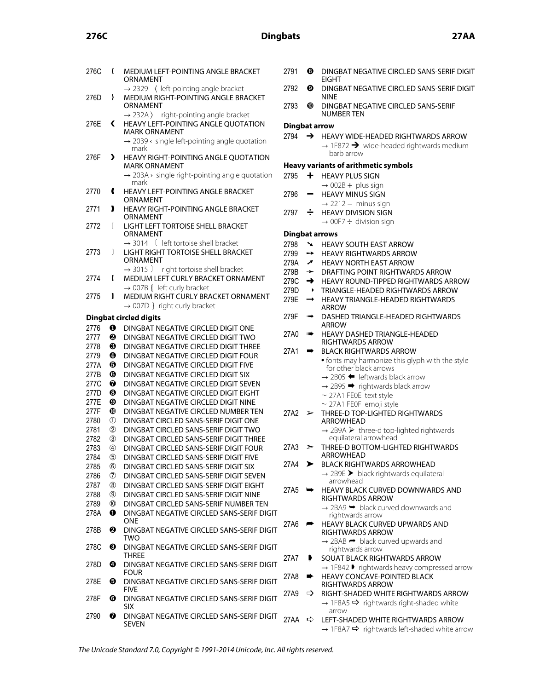# **276C Dingbats 27AA**

| 276C         | $\overline{\mathcal{L}}$ | MEDIUM LEFT-POINTING ANGLE BRACKET<br>ORNAMENT                                                                  |
|--------------|--------------------------|-----------------------------------------------------------------------------------------------------------------|
| 276D         | Ι.                       | $\rightarrow$ 2329 $\langle$ left-pointing angle bracket<br>MEDIUM RIGHT-POINTING ANGLE BRACKET                 |
|              |                          | ORNAMENT                                                                                                        |
| 276E         | ∢                        | $\rightarrow$ 232A) right-pointing angle bracket<br>HEAVY LEFT-POINTING ANGLE QUOTATION<br><b>MARK ORNAMENT</b> |
|              |                          | $\rightarrow$ 2039 $\leftarrow$ single left-pointing angle quotation<br>mark                                    |
| 276F         | ▸                        | HEAVY RIGHT-POINTING ANGLE QUOTATION<br>MARK ORNAMENT                                                           |
|              |                          | $\rightarrow$ 203A $\rightarrow$ single right-pointing angle quotation<br>mark                                  |
| 2770         | €                        | <b>HEAVY LEFT-POINTING ANGLE BRACKET</b>                                                                        |
| 2771         | ,                        | ORNAMENT<br>HEAVY RIGHT-POINTING ANGLE BRACKET                                                                  |
| 2772         | ſ                        | ORNAMENT<br>LIGHT LEFT TORTOISE SHELL BRACKET                                                                   |
|              |                          | ORNAMENT                                                                                                        |
| 2773         | 1                        | $\rightarrow$ 3014 ( left tortoise shell bracket<br>LIGHT RIGHT TORTOISE SHELL BRACKET                          |
|              |                          | ORNAMENT                                                                                                        |
|              |                          | $\rightarrow$ 3015 ) right tortoise shell bracket                                                               |
| 2774         | ł                        | MEDIUM LEFT CURLY BRACKET ORNAMENT                                                                              |
| 2775         | ł                        | $\rightarrow$ 007B { left curly bracket<br>MEDIUM RIGHT CURLY BRACKET ORNAMENT                                  |
|              |                          | $\rightarrow$ 007D } right curly bracket                                                                        |
|              |                          |                                                                                                                 |
|              |                          | <b>Dingbat circled digits</b>                                                                                   |
| 2776         | 0                        | DINGBAT NEGATIVE CIRCLED DIGIT ONE                                                                              |
| 2777         | ❷                        | DINGBAT NEGATIVE CIRCLED DIGIT TWO                                                                              |
| 2778         | ❸                        | DINGBAT NEGATIVE CIRCLED DIGIT THREE                                                                            |
| 2779         | ❹<br>❺                   | DINGBAT NEGATIVE CIRCLED DIGIT FOUR<br>DINGBAT NEGATIVE CIRCLED DIGIT FIVE                                      |
| 277A         | ❻                        | DINGBAT NEGATIVE CIRCLED DIGIT SIX                                                                              |
| 277B<br>277C | ❼                        | DINGBAT NEGATIVE CIRCLED DIGIT SEVEN                                                                            |
| 277D         | ❸                        | DINGBAT NEGATIVE CIRCLED DIGIT EIGHT                                                                            |
| 277E         | ⊕                        | DINGBAT NEGATIVE CIRCLED DIGIT NINE                                                                             |
| 277F         | ◍                        | DINGBAT NEGATIVE CIRCLED NUMBER TEN                                                                             |
| 2780         | $^\circledR$             | DINGBAT CIRCLED SANS-SERIF DIGIT ONE                                                                            |
| 2781         | ②                        | DINGBAT CIRCLED SANS-SERIF DIGIT TWO                                                                            |
| 2782         | ③                        | DINGBAT CIRCLED SANS-SERIF DIGIT THREE                                                                          |
| 2783         | 4                        | DINGBAT CIRCLED SANS-SERIF DIGIT FOUR                                                                           |
| 2784         | $\circledS$              | DINGBAT CIRCLED SANS-SERIF DIGIT FIVE                                                                           |
| 2785         | $^\circledR$             | DINGBAT CIRCLED SANS-SERIF DIGIT SIX                                                                            |
| 2786         | ℗                        | DINGBAT CIRCLED SANS-SERIF DIGIT SEVEN                                                                          |
| 2787         | $^\circledR$             | DINGBAT CIRCLED SANS-SERIF DIGIT EIGHT                                                                          |
| 2788         | 9)                       | DINGBAT CIRCLED SANS-SERIF DIGIT NINE                                                                           |
| 2789         | $^{\circledR}$           | DINGBAT CIRCLED SANS-SERIF NUMBER TEN                                                                           |
| 278A         | o                        | DINGBAT NEGATIVE CIRCLED SANS-SERIF DIGIT<br>ONE                                                                |
| 278B         | ❷                        | DINGBAT NEGATIVE CIRCLED SANS-SERIF DIGIT<br>TWO                                                                |
| 278C         | ❸                        | DINGBAT NEGATIVE CIRCLED SANS-SERIF DIGIT<br>THREE                                                              |
| 278D         | Ø                        | DINGBAT NEGATIVE CIRCLED SANS-SERIF DIGIT<br>FOUR                                                               |
| 278E         | 0                        | DINGBAT NEGATIVE CIRCLED SANS-SERIF DIGIT<br>FIVE                                                               |
| 278F         | ❻                        | DINGBAT NEGATIVE CIRCLED SANS-SERIF DIGIT<br>SIX                                                                |
|              |                          |                                                                                                                 |

- 2791 **WE DINGBAT NEGATIVE CIRCLED SANS-SERIF DIGIT** EIGHT
- 2792 **©** DINGBAT NEGATIVE CIRCLED SANS-SERIF DIGIT NINE
- 2793 **W** DINGBAT NEGATIVE CIRCLED SANS-SERIF NUMBER TEN

# **Dingbat arrow**

2794 ➔ HEAVY WIDE-HEADED RIGHTWARDS ARROW  $\rightarrow$  1F872  $\rightarrow$  wide-headed rightwards medium barb arrow

# **Heavy variants of arithmetic symbols**

- 2795 **+** HEAVY PLUS SIGN
- $\rightarrow$  002B + plus sign 2796 - HEAVY MINUS SIGN
- $\rightarrow$  2212  $-$  minus sign 2797  $\div$  HEAVY DIVISION SIGN
	- $\rightarrow$  00F7  $\div$  division sign

# **Dingbat arrows**

- 2798 **WALLER HEAVY SOUTH EAST ARROW**
- 2799 ➙ HEAVY RIGHTWARDS ARROW
- 279A **T** HEAVY NORTH EAST ARROW
- 279B ➛ DRAFTING POINT RIGHTWARDS ARROW
- 279C ➜ HEAVY ROUND-TIPPED RIGHTWARDS ARROW
- 279D → TRIANGLE-HEADED RIGHTWARDS ARROW
- 279E ➞ HEAVY TRIANGLE-HEADED RIGHTWARDS ARROW
- 279F ➟ DASHED TRIANGLE-HEADED RIGHTWARDS ARROW
- 27A0 **•••** HEAVY DASHED TRIANGLE-HEADED RIGHTWARDS ARROW

#### 27A1 ➡ BLACK RIGHTWARDS ARROW • fonts may harmonize this glyph with the style for other black arrows

- $\rightarrow$  2B05  $\leftarrow$  leftwards black arrow
- $\rightarrow$  2B95  $\rightarrow$  rightwards black arrow
- $\sim$  27A1 FE0E text style
- ⁓ 27A1 FE0F emoji style
- 27A2 ➢ THREE-D TOP-LIGHTED RIGHTWARDS ARROWHEAD
	- $\rightarrow$  2B9A  $\triangleright$  three-d top-lighted rightwards equilateral arrowhead
- 27A3 ➣ THREE-D BOTTOM-LIGHTED RIGHTWARDS ARROWHEAD
- 27A4 ➤ BLACK RIGHTWARDS ARROWHEAD  $\rightarrow$  2B9E  $\triangleright$  black rightwards equilateral arrowhead
- 27A5 ➥ HEAVY BLACK CURVED DOWNWARDS AND RIGHTWARDS ARROW
	- $\rightarrow$  2BA9  $\rightarrow$  black curved downwards and rightwards arrow
- 27A6  $\rightarrow$  HEAVY BLACK CURVED UPWARDS AND RIGHTWARDS ARROW
	- $\rightarrow$  2BAB  $\rightarrow$  black curved upwards and rightwards arrow
- 27A7 ➧ SQUAT BLACK RIGHTWARDS ARROW  $\rightarrow$  1F842  $\blacktriangleright$  rightwards heavy compressed arrow
- 27A8 ➨ HEAVY CONCAVE-POINTED BLACK RIGHTWARDS ARROW
- 27A9  $\Rightarrow$  RIGHT-SHADED WHITE RIGHTWARDS ARROW  $\rightarrow$  1F8A5  $\Rightarrow$  rightwards right-shaded white arrow
- 27AA  $\Rightarrow$  LEFT-SHADED WHITE RIGHTWARDS ARROW
	- $\rightarrow$  1F8A7  $\rightarrow$  rightwards left-shaded white arrow

SEVEN